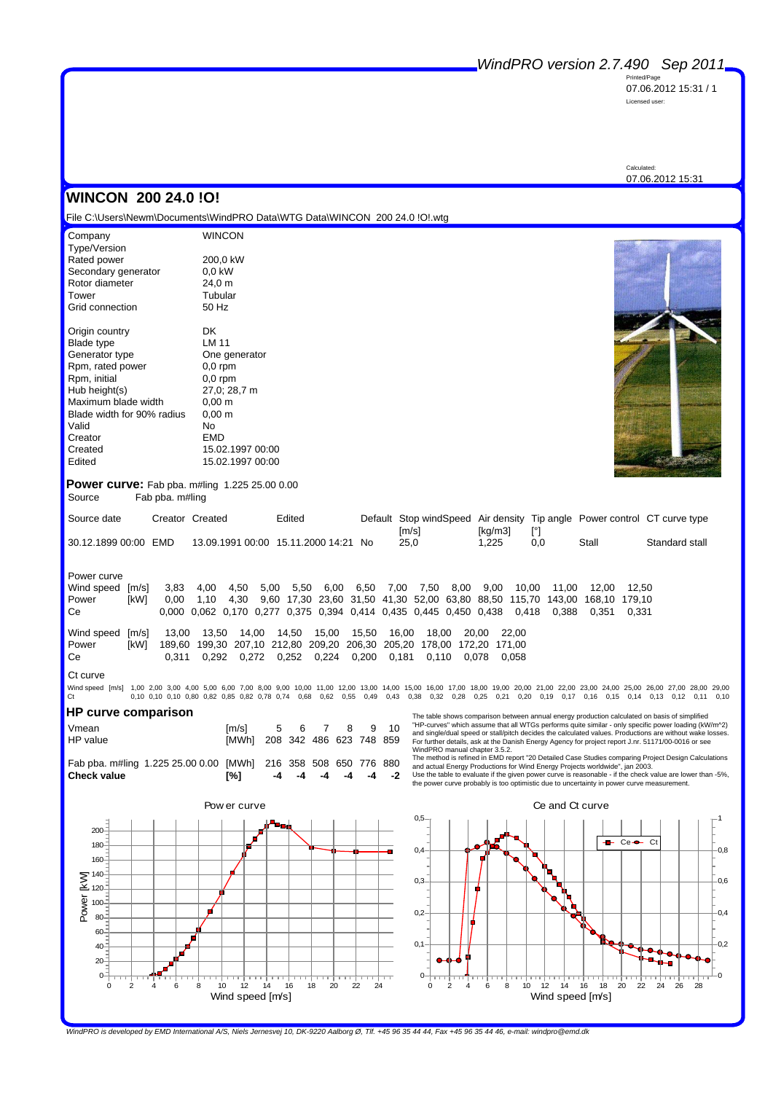Printed/Page 07.06.2012 15:31 / 1 Licensed user:

Calculated: 07.06.2012 15:31

## **WINCON 200 24.0 !O!**

File C:\Users\Newm\Documents\WindPRO Data\WTG Data\WINCON 200 24.0 !O!.wtg

| Company<br>Type/Version    | <b>WINCON</b>      |
|----------------------------|--------------------|
| Rated power                | 200,0 kW           |
| Secondary generator        | $0.0$ kW           |
| Rotor diameter             | 24,0 m             |
| Tower                      | Tubular            |
| Grid connection            | 50 Hz              |
| Origin country             | DK                 |
| <b>Blade type</b>          | LM 11              |
| Generator type             | One generator      |
| Rpm, rated power           | $0,0$ rpm          |
| Rpm, initial               | $0.0$ rpm          |
| Hub height(s)              | 27,0; 28,7 m       |
| Maximum blade width        | $0,00 \; \text{m}$ |
| Blade width for 90% radius | $0,00 \; \text{m}$ |
| Valid                      | No                 |
| Creator                    | <b>EMD</b>         |
| Created                    | 15.02.1997 00:00   |
| Edited                     | 15.02.1997 00:00   |



**Power curve:** Fab pba. m#ling 1.225 25.00 0.00 Source Fab pba. m#ling

| Source date          | Creator Created | Edited                               | Default Stop windSpeed Air density Tip angle Power control CT curve type |                  |     |       |                |
|----------------------|-----------------|--------------------------------------|--------------------------------------------------------------------------|------------------|-----|-------|----------------|
| 30.12.1899 00:00 EMD |                 | 13.09.1991 00:00 15.11.2000 14:21 No | $\text{Im/s}$<br>25.0                                                    | [kɑ/m3]<br>1.225 | 0.0 | Stall | Standard stall |

Power curve

| Wind speed [m/s] 3,83 4,00 4,50 5,00 5,50 6,00 6,50 7,00 7,50 8,00 9,00 10,00 11,00 12,00 12,50 |  |  |  |  |  |  |                                                                                                |  |
|-------------------------------------------------------------------------------------------------|--|--|--|--|--|--|------------------------------------------------------------------------------------------------|--|
| Power                                                                                           |  |  |  |  |  |  | [kW] 0,00 1,10 4,30 9,60 17,30 23,60 31,50 41,30 52,00 63,80 88,50 115,70 143,00 168,10 179,10 |  |
| Ce                                                                                              |  |  |  |  |  |  | 0,000 0,062 0,170 0,277 0,375 0,394 0,414 0,435 0,445 0,450 0,438 0,418 0,388 0,351 0,331      |  |

| Wind speed [m/s] 13,00 13,50 14,00 14,50 15,00 15,50 16,00 18,00 20,00 22,00 |                                                                            |  |  |  |  |                                                                                 |
|------------------------------------------------------------------------------|----------------------------------------------------------------------------|--|--|--|--|---------------------------------------------------------------------------------|
| Power                                                                        | [kW] 189,60 199,30 207,10 212,80 209,20 206,30 205,20 178,00 172,20 171,00 |  |  |  |  |                                                                                 |
| Сe                                                                           |                                                                            |  |  |  |  | $0.311$ $0.292$ $0.272$ $0.252$ $0.224$ $0.200$ $0.181$ $0.110$ $0.078$ $0.058$ |

#### Ct curve

Wind speed [m/s] 1,00 2,00 3,00 4,00 5,00 6,00 7,00 8,00 9,00 10,00 11,00 12,00 13,00 14,00 15,00 16,00 17,00 18,00 19,00 20,00 21,00 22,00 23,00 24,00 25,00 26,00 27,00 28,00 29,00 Ct 0,10 0,10 0,10 0,80 0,82 0,85 0,82 0,78 0,74 0,68 0,62 0,55 0,49 0,43 0,38 0,32 0,28 0,25 0,21 0,20 0,19 0,17 0,16 0,15 0,14 0,13 0,12 0,11 0,10

### **HP curve comparison**

| Vmean    |                                                                | [m/s]                         | 5 6 7 | - 8 | 9 10 |
|----------|----------------------------------------------------------------|-------------------------------|-------|-----|------|
| HP value |                                                                | [MWh] 208 342 486 623 748 859 |       |     |      |
|          | Fab pba. m#ling 1.225 25.00 0.00 [MWh] 216 358 508 650 776 880 |                               |       |     |      |

Fab pba. m#ling 1.225 25.00 0.00 [MWh] 216 358 508 650 776 880 **Check value [%] -4 -4 -4 -4 -4 -2**

The table shows comparison between annual energy production calculated on basis of simplified<br>"HP-curves" which assume that all WTGs performs quite similar - only specific power loading (kW/m^2)<br>and single/dual speed or st

WindPRO manual chapter 3.5.2.<br>The method is refined in EMD report "20 Detailed Case Studies comparing Project Design Calculations<br>and actual Energy Productions for Wind Energy Projects worldwide", jan 2003.<br>Use the table t



Ce and Ct curve  $0,5$ 1 ÷ Ce Ct 0,4  $-0.8$ 0,3  $-0,6$  $0.2<sup>°</sup>$  $-0.4$  $0,1$  $-0,2$ ≂ + ÷. ╈┱  $\Omega$  $\overline{0}$ 0 2 4 6 8 10 12 14 16 18 20 22 24 26 28 Wind speed [m/s]

*WindPRO is developed by EMD International A/S, Niels Jernesvej 10, DK-9220 Aalborg Ø, Tlf. +45 96 35 44 44, Fax +45 96 35 44 46, e-mail: windpro@emd.dk*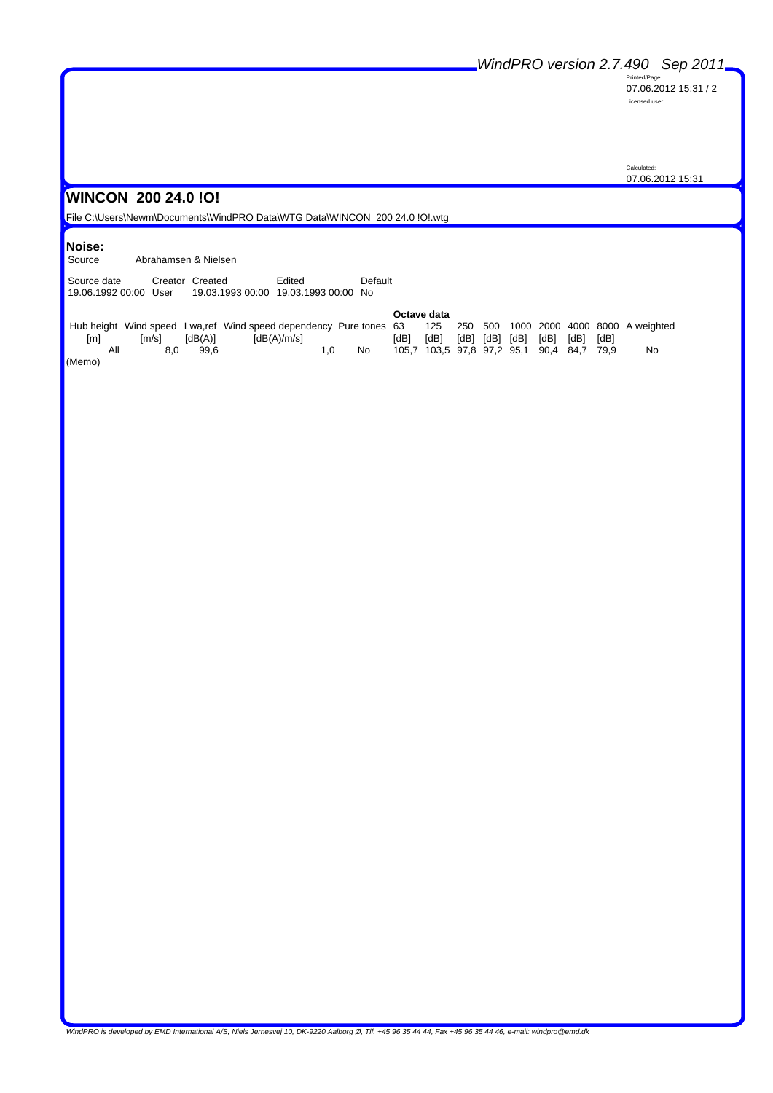Printed/Page 07.06.2012 15:31 / 2 Licensed user:

Calculated: 07.06.2012 15:31

## **WINCON 200 24.0 !O!**

File C:\Users\Newm\Documents\WindPRO Data\WTG Data\WINCON 200 24.0 !O!.wtg

# **Noise:**

Abrahamsen & Nielsen

Source date Creator Created Edited Default 19.06.1992 00:00 User 19.03.1993 00:00 19.03.1993 00:00 No

|        |               |         |                                                                                                              |    |      | Octave data                               |  |                          |  |      |    |
|--------|---------------|---------|--------------------------------------------------------------------------------------------------------------|----|------|-------------------------------------------|--|--------------------------|--|------|----|
|        |               |         | Hub height Wind speed Lwa,ref Wind speed dependency Pure tones 63 125 250 500 1000 2000 4000 8000 A weighted |    |      |                                           |  |                          |  |      |    |
| [m]    | $\text{Im/s}$ | [dB(A)] | [dB(A)/m/s]                                                                                                  |    | [dB] | [dB]                                      |  | [dB] [dB] [dB] [dB] [dB] |  | [dB] |    |
| All    | 8.0           | 99.6    | 1.0                                                                                                          | No |      | 105,7 103,5 97,8 97,2 95,1 90,4 84,7 79,9 |  |                          |  |      | No |
| (Memo) |               |         |                                                                                                              |    |      |                                           |  |                          |  |      |    |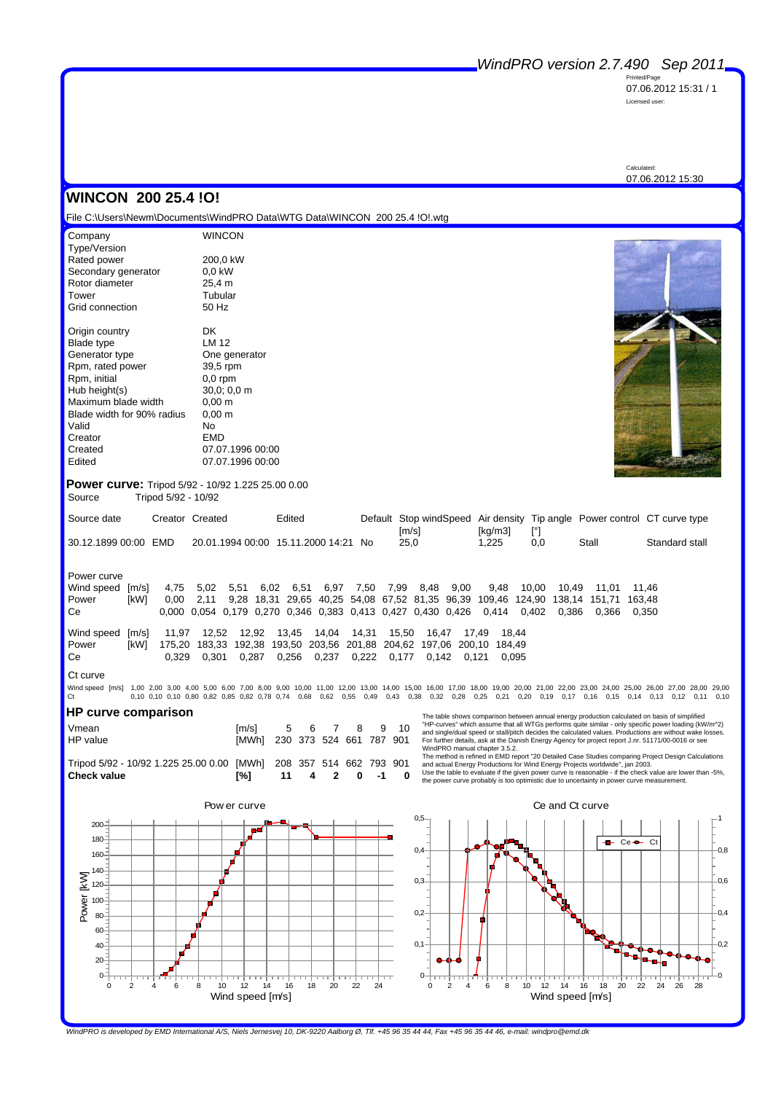Printed/Page 07.06.2012 15:31 / 1 Licensed user:

Calculated: 07.06.2012 15:30

## **WINCON 200 25.4 !O!**

File C:\Users\Newm\Documents\WindPRO Data\WTG Data\WINCON 200 25.4 !O!.wtg

| Company                    | <b>WINCON</b>      |
|----------------------------|--------------------|
| Type/Version               |                    |
| Rated power                | 200,0 kW           |
| Secondary generator        | 0.0 kW             |
| Rotor diameter             | 25,4 m             |
| Tower                      | Tubular            |
| Grid connection            | 50 Hz              |
| Origin country             | DK                 |
| <b>Blade type</b>          | LM 12              |
| Generator type             | One generator      |
| Rpm, rated power           | 39,5 rpm           |
| Rpm, initial               | $0,0$ rpm          |
| Hub height(s)              | 30.0; 0.0 m        |
| Maximum blade width        | 0.00 m             |
| Blade width for 90% radius | $0,00 \; \text{m}$ |
| Valid                      | No                 |
| Creator                    | EMD                |
| Created                    | 07.07.1996 00:00   |
| Edited                     | 07.07.1996 00:00   |



**Power curve:** Tripod 5/92 - 10/92 1.225 25.00 0.00 Source Tripod 5/92 - 10/92

| Source date          | Creator Created | Edited | Default Stop windSpeed Air density Tip angle Power control CT curve type |         |       |                |
|----------------------|-----------------|--------|--------------------------------------------------------------------------|---------|-------|----------------|
|                      |                 |        | $\lceil m/s \rceil$                                                      | [kg/m3] |       |                |
| 30.12.1899 00:00 EMD |                 |        | 25.0                                                                     | 1.225   | Stall | Standard stall |

Power curve

Wind speed [m/s] 4,75 5,02 5,51 6,02 6,51 6,97 7,50 7,99 8,48 9,00 9,48 10,00 10,49 11,01 11,46 Power [kW] 0,00 2,11 9,28 18,31 29,65 40,25 54,08 67,52 81,35 96,39 109,46 124,90 138,14 151,71 163,48 Ce 0,000 0,054 0,179 0,270 0,346 0,383 0,413 0,427 0,430 0,426 0,414 0,402 0,386 0,366 0,350

Wind speed [m/s] 11,97 12,52 12,92 13,45 14,04 14,31 15,50 16,47 17,49 18,44 Power [kW] 175,20 183,33 192,38 193,50 203,56 201,88 204,62 197,06 200,10 184,49 Ce 0,329 0,301 0,287 0,256 0,237 0,222 0,177 0,142 0,121 0,095

#### Ct curve

Wind speed [m/s] 1,00 2,00 3,00 4,00 5,00 6,00 7,00 8,00 9,00 10,00 11,00 12,00 13,00 14,00 15,00 16,00 17,00 18,00 19,00 20,00 21,00 22,00 23,00 24,00 25,00 26,00 27,00 28,00 29,00 Ct 0,10 0,10 0,10 0,80 0,82 0,85 0,82 0,78 0,74 0,68 0,62 0,55 0,49 0,43 0,38 0,32 0,28 0,25 0,21 0,20 0,19 0,17 0,16 0,15 0,14 0,13 0,12 0,11 0,10

## **HP curve comparison**

| Vmean    | $\text{Im/s}$ 5 6 7 8 9 10    |  |  |  |
|----------|-------------------------------|--|--|--|
| HP value | [MWh] 230 373 524 661 787 901 |  |  |  |

Tripod 5/92 - 10/92 1.225 25.00 0.00 [MWh] 208 357 514 662 793 901<br>Check value [%] 11 4 2 0 -1 0 **Check value [%] 11 4 2 0 -1 0**

The table shows comparison between annual energy production calculated on basis of simplified<br>"HP-curves" which assume that all WTGs performs quite similar - only specific power loading (kW/m^2)<br>and single/dual speed or st

The method is refined in EMD report "20 Detailed Case Studies comparing Project Design Calculations<br>and actual Energy Productions for Wind Energy Projects worldwide", jan 2003.<br>Use the table to evaluate if the given power



*WindPRO is developed by EMD International A/S, Niels Jernesvej 10, DK-9220 Aalborg Ø, Tlf. +45 96 35 44 44, Fax +45 96 35 44 46, e-mail: windpro@emd.dk*